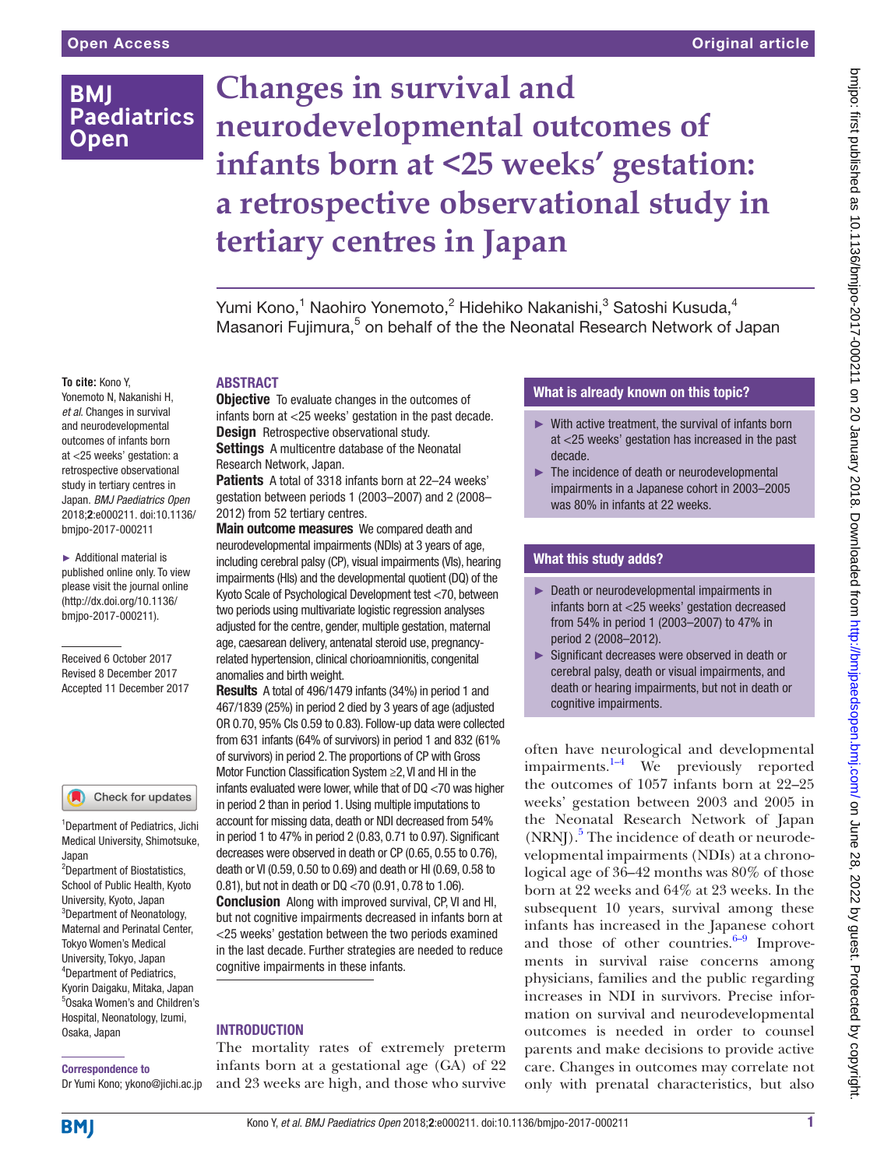# **BMJ Paediatrics Open**

# **Changes in survival and neurodevelopmental outcomes of infants born at <25 weeks' gestation: a retrospective observational study in tertiary centres in Japan**

Yumi Kono,<sup>1</sup> Naohiro Yonemoto,<sup>2</sup> Hidehiko Nakanishi,<sup>3</sup> Satoshi Kusuda,<sup>4</sup> Masanori Fujimura,<sup>5</sup> on behalf of the the Neonatal Research Network of Japan

#### **To cite:** Kono Y,

Yonemoto N, Nakanishi H, *et al*. Changes in survival and neurodevelopmental outcomes of infants born at <25 weeks' gestation: a retrospective observational study in tertiary centres in Japan. *BMJ Paediatrics Open* 2018;2:e000211. doi:10.1136/ bmjpo-2017-000211

► Additional material is published online only. To view please visit the journal online (http://dx.doi.org/10.1136/ bmjpo-2017-000211).

Received 6 October 2017 Revised 8 December 2017 Accepted 11 December 2017

# Check for updates

1 Department of Pediatrics, Jichi Medical University, Shimotsuke, Japan

2 Department of Biostatistics, School of Public Health, Kyoto University, Kyoto, Japan 3 Department of Neonatology, Maternal and Perinatal Center, Tokyo Women's Medical University, Tokyo, Japan 4 Department of Pediatrics, Kyorin Daigaku, Mitaka, Japan 5 Osaka Women's and Children's Hospital, Neonatology, Izumi, Osaka, Japan

# Correspondence to

Dr Yumi Kono; ykono@jichi.ac.jp

# **ABSTRACT**

**Objective** To evaluate changes in the outcomes of infants born at <25 weeks' gestation in the past decade. **Design** Retrospective observational study.

Settings A multicentre database of the Neonatal Research Network, Japan.

Patients A total of 3318 infants born at 22-24 weeks' gestation between periods 1 (2003–2007) and 2 (2008– 2012) from 52 tertiary centres.

Main outcome measures We compared death and neurodevelopmental impairments (NDIs) at 3 years of age, including cerebral palsy (CP), visual impairments (VIs), hearing impairments (HIs) and the developmental quotient (DQ) of the Kyoto Scale of Psychological Development test <70, between two periods using multivariate logistic regression analyses adjusted for the centre, gender, multiple gestation, maternal age, caesarean delivery, antenatal steroid use, pregnancyrelated hypertension, clinical chorioamnionitis, congenital anomalies and birth weight.

Results A total of 496/1479 infants (34%) in period 1 and 467/1839 (25%) in period 2 died by 3 years of age (adjusted OR 0.70, 95% CIs 0.59 to 0.83). Follow-up data were collected from 631 infants (64% of survivors) in period 1 and 832 (61% of survivors) in period 2. The proportions of CP with Gross Motor Function Classification System ≥2, VI and HI in the infants evaluated were lower, while that of DQ <70 was higher in period 2 than in period 1. Using multiple imputations to account for missing data, death or NDI decreased from 54% in period 1 to 47% in period 2 (0.83, 0.71 to 0.97). Significant decreases were observed in death or CP (0.65, 0.55 to 0.76), death or VI (0.59, 0.50 to 0.69) and death or HI (0.69, 0.58 to 0.81), but not in death or DQ <70 (0.91, 0.78 to 1.06). **Conclusion** Along with improved survival, CP, VI and HI, but not cognitive impairments decreased in infants born at <25 weeks' gestation between the two periods examined in the last decade. Further strategies are needed to reduce cognitive impairments in these infants.

# **INTRODUCTION**

The mortality rates of extremely preterm infants born at a gestational age (GA) of 22 and 23 weeks are high, and those who survive

# What is already known on this topic?

- $\triangleright$  With active treatment, the survival of infants born at <25 weeks' gestation has increased in the past decade.
- ► The incidence of death or neurodevelopmental impairments in a Japanese cohort in 2003–2005 was 80% in infants at 22 weeks.

# What this study adds?

- ► Death or neurodevelopmental impairments in infants born at <25 weeks' gestation decreased from 54% in period 1 (2003–2007) to 47% in period 2 (2008–2012).
- ► Significant decreases were observed in death or cerebral palsy, death or visual impairments, and death or hearing impairments, but not in death or cognitive impairments.

often have neurological and developmental impairments. $\frac{1-4}{1}$  We previously reported the outcomes of 1057 infants born at 22–25 weeks' gestation between 2003 and 2005 in the Neonatal Research Network of Japan (NRNJ).<sup>[5](#page-8-1)</sup> The incidence of death or neurodevelopmental impairments (NDIs) at a chronological age of 36–42 months was 80% of those born at 22 weeks and 64% at 23 weeks. In the subsequent 10 years, survival among these infants has increased in the Japanese cohort and those of other countries. $6-9$  Improvements in survival raise concerns among physicians, families and the public regarding increases in NDI in survivors. Precise information on survival and neurodevelopmental outcomes is needed in order to counsel parents and make decisions to provide active care. Changes in outcomes may correlate not only with prenatal characteristics, but also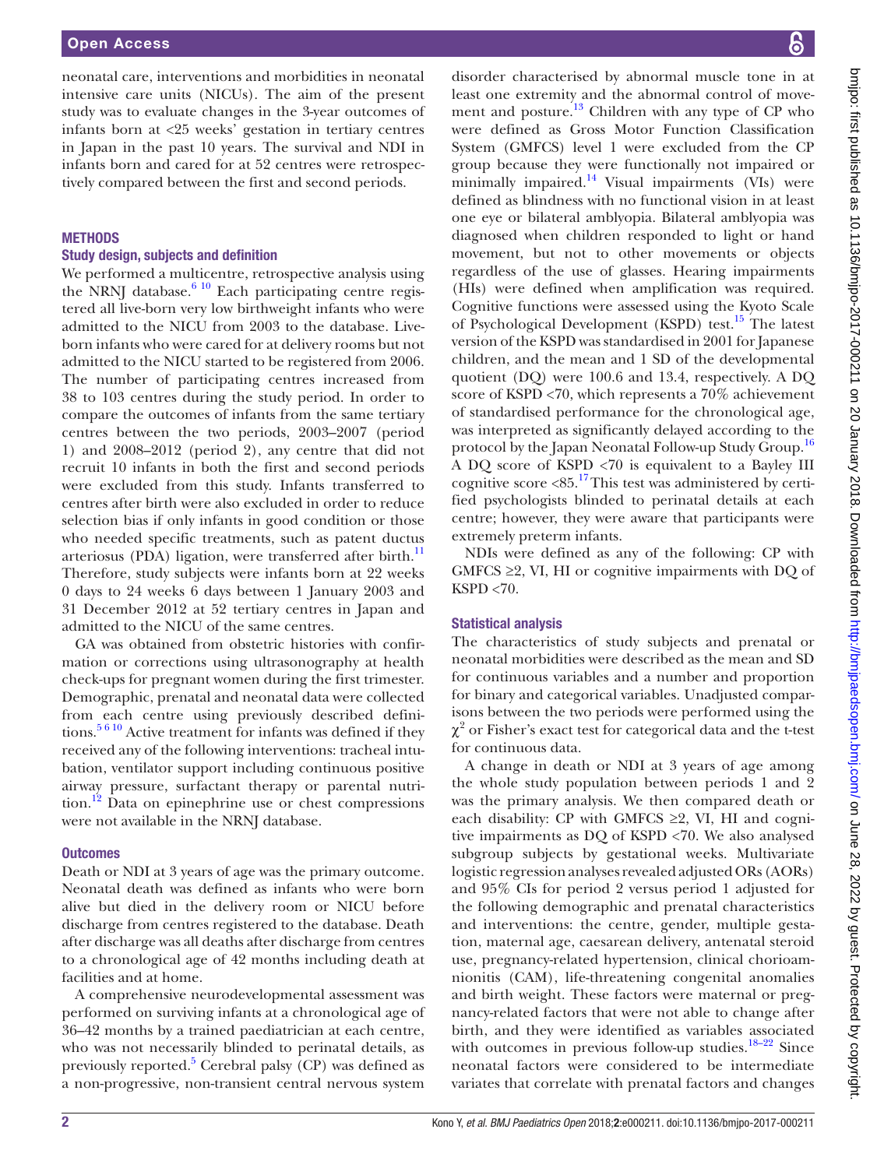neonatal care, interventions and morbidities in neonatal intensive care units (NICUs). The aim of the present study was to evaluate changes in the 3-year outcomes of infants born at <25 weeks' gestation in tertiary centres in Japan in the past 10 years. The survival and NDI in infants born and cared for at 52 centres were retrospectively compared between the first and second periods.

#### **METHODS**

#### Study design, subjects and definition

We performed a multicentre, retrospective analysis using the NRNJ database. $6^{10}$  Each participating centre registered all live-born very low birthweight infants who were admitted to the NICU from 2003 to the database. Liveborn infants who were cared for at delivery rooms but not admitted to the NICU started to be registered from 2006. The number of participating centres increased from 38 to 103 centres during the study period. In order to compare the outcomes of infants from the same tertiary centres between the two periods, 2003–2007 (period 1) and 2008–2012 (period 2), any centre that did not recruit 10 infants in both the first and second periods were excluded from this study. Infants transferred to centres after birth were also excluded in order to reduce selection bias if only infants in good condition or those who needed specific treatments, such as patent ductus arteriosus (PDA) ligation, were transferred after birth.<sup>11</sup> Therefore, study subjects were infants born at 22 weeks 0 days to 24 weeks 6 days between 1 January 2003 and 31 December 2012 at 52 tertiary centres in Japan and admitted to the NICU of the same centres.

GA was obtained from obstetric histories with confirmation or corrections using ultrasonography at health check-ups for pregnant women during the first trimester. Demographic, prenatal and neonatal data were collected from each centre using previously described defini-tions.<sup>[5 6 10](#page-8-1)</sup> Active treatment for infants was defined if they received any of the following interventions: tracheal intubation, ventilator support including continuous positive airway pressure, surfactant therapy or parental nutrition[.12](#page-8-4) Data on epinephrine use or chest compressions were not available in the NRNJ database.

#### **Outcomes**

Death or NDI at 3 years of age was the primary outcome. Neonatal death was defined as infants who were born alive but died in the delivery room or NICU before discharge from centres registered to the database. Death after discharge was all deaths after discharge from centres to a chronological age of 42 months including death at facilities and at home.

A comprehensive neurodevelopmental assessment was performed on surviving infants at a chronological age of 36–42 months by a trained paediatrician at each centre, who was not necessarily blinded to perinatal details, as previously reported.<sup>[5](#page-8-1)</sup> Cerebral palsy  $(CP)$  was defined as a non-progressive, non-transient central nervous system

disorder characterised by abnormal muscle tone in at least one extremity and the abnormal control of move-ment and posture.<sup>[13](#page-8-5)</sup> Children with any type of CP who were defined as Gross Motor Function Classification System (GMFCS) level 1 were excluded from the CP group because they were functionally not impaired or minimally impaired.<sup>[14](#page-8-6)</sup> Visual impairments (VIs) were defined as blindness with no functional vision in at least one eye or bilateral amblyopia. Bilateral amblyopia was diagnosed when children responded to light or hand movement, but not to other movements or objects regardless of the use of glasses. Hearing impairments (HIs) were defined when amplification was required. Cognitive functions were assessed using the Kyoto Scale of Psychological Development (KSPD) test.<sup>15</sup> The latest version of the KSPD was standardised in 2001 for Japanese children, and the mean and 1 SD of the developmental quotient (DQ) were 100.6 and 13.4, respectively. A DQ score of KSPD <70, which represents a 70% achievement of standardised performance for the chronological age, was interpreted as significantly delayed according to the protocol by the Japan Neonatal Follow-up Study Group.[16](#page-8-8) A DQ score of KSPD <70 is equivalent to a Bayley III cognitive score  $\langle 85$ <sup>[17](#page-8-9)</sup>This test was administered by certified psychologists blinded to perinatal details at each centre; however, they were aware that participants were extremely preterm infants.

NDIs were defined as any of the following: CP with GMFCS  $\geq$ 2, VI, HI or cognitive impairments with DQ of KSPD <70.

#### Statistical analysis

The characteristics of study subjects and prenatal or neonatal morbidities were described as the mean and SD for continuous variables and a number and proportion for binary and categorical variables. Unadjusted comparisons between the two periods were performed using the  $\chi^2$  or Fisher's exact test for categorical data and the t-test for continuous data.

A change in death or NDI at 3 years of age among the whole study population between periods 1 and 2 was the primary analysis. We then compared death or each disability: CP with GMFCS  $\geq 2$ , VI, HI and cognitive impairments as DQ of KSPD <70. We also analysed subgroup subjects by gestational weeks. Multivariate logistic regression analyses revealed adjusted ORs (AORs) and 95% CIs for period 2 versus period 1 adjusted for the following demographic and prenatal characteristics and interventions: the centre, gender, multiple gestation, maternal age, caesarean delivery, antenatal steroid use, pregnancy-related hypertension, clinical chorioamnionitis (CAM), life-threatening congenital anomalies and birth weight. These factors were maternal or pregnancy-related factors that were not able to change after birth, and they were identified as variables associated with outcomes in previous follow-up studies. $18-22$  Since neonatal factors were considered to be intermediate variates that correlate with prenatal factors and changes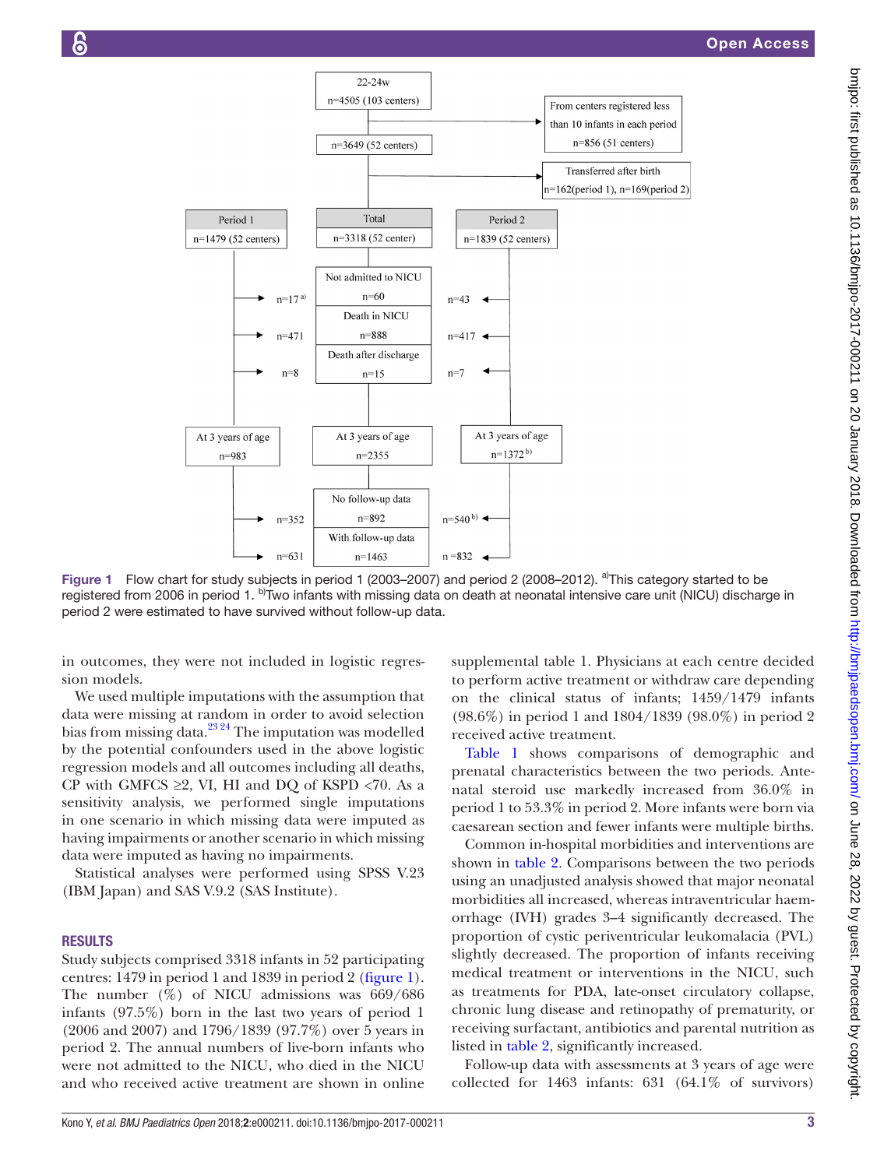

Figure 1 Flow chart for study subjects in period 1 (2003–2007) and period 2 (2008–2012). <sup>a)</sup>This category started to be registered from 2006 in period 1. b)Two infants with missing data on death at neonatal intensive care unit (NICU) discharge in period 2 were estimated to have survived without follow-up data.

in outcomes, they were not included in logistic regression models.

We used multiple imputations with the assumption that data were missing at random in order to avoid selection bias from missing data.<sup>23 24</sup> The imputation was modelled by the potential confounders used in the above logistic regression models and all outcomes including all deaths, CP with GMFCS  $\geq 2$ , VI, HI and DQ of KSPD <70. As a sensitivity analysis, we performed single imputations in one scenario in which missing data were imputed as having impairments or another scenario in which missing data were imputed as having no impairments.

Statistical analyses were performed using SPSS V.23 (IBM Japan) and SAS V.9.2 (SAS Institute).

#### **RESULTS**

Study subjects comprised 3318 infants in 52 participating centres: 1479 in period 1 and 1839 in period 2 ([figure](#page-2-0) 1). The number (%) of NICU admissions was 669/686 infants (97.5%) born in the last two years of period 1 (2006 and 2007) and 1796/1839 (97.7%) over 5 years in period 2. The annual numbers of live-born infants who were not admitted to the NICU, who died in the NICU and who received active treatment are shown in online

<span id="page-2-0"></span>[supplemental table 1](https://dx.doi.org/10.1136/bmjpo-2017-000211). Physicians at each centre decided to perform active treatment or withdraw care depending on the clinical status of infants; 1459/1479 infants (98.6%) in period 1 and 1804/1839 (98.0%) in period 2 received active treatment.

[Table](#page-3-0) 1 shows comparisons of demographic and prenatal characteristics between the two periods. Antenatal steroid use markedly increased from 36.0% in period 1 to 53.3% in period 2. More infants were born via caesarean section and fewer infants were multiple births.

Common in-hospital morbidities and interventions are shown in [table](#page-3-1) 2. Comparisons between the two periods using an unadjusted analysis showed that major neonatal morbidities all increased, whereas intraventricular haemorrhage (IVH) grades 3–4 significantly decreased. The proportion of cystic periventricular leukomalacia (PVL) slightly decreased. The proportion of infants receiving medical treatment or interventions in the NICU, such as treatments for PDA, late-onset circulatory collapse, chronic lung disease and retinopathy of prematurity, or receiving surfactant, antibiotics and parental nutrition as listed in [table](#page-3-1) 2, significantly increased.

Follow-up data with assessments at 3 years of age were collected for 1463 infants: 631 (64.1% of survivors)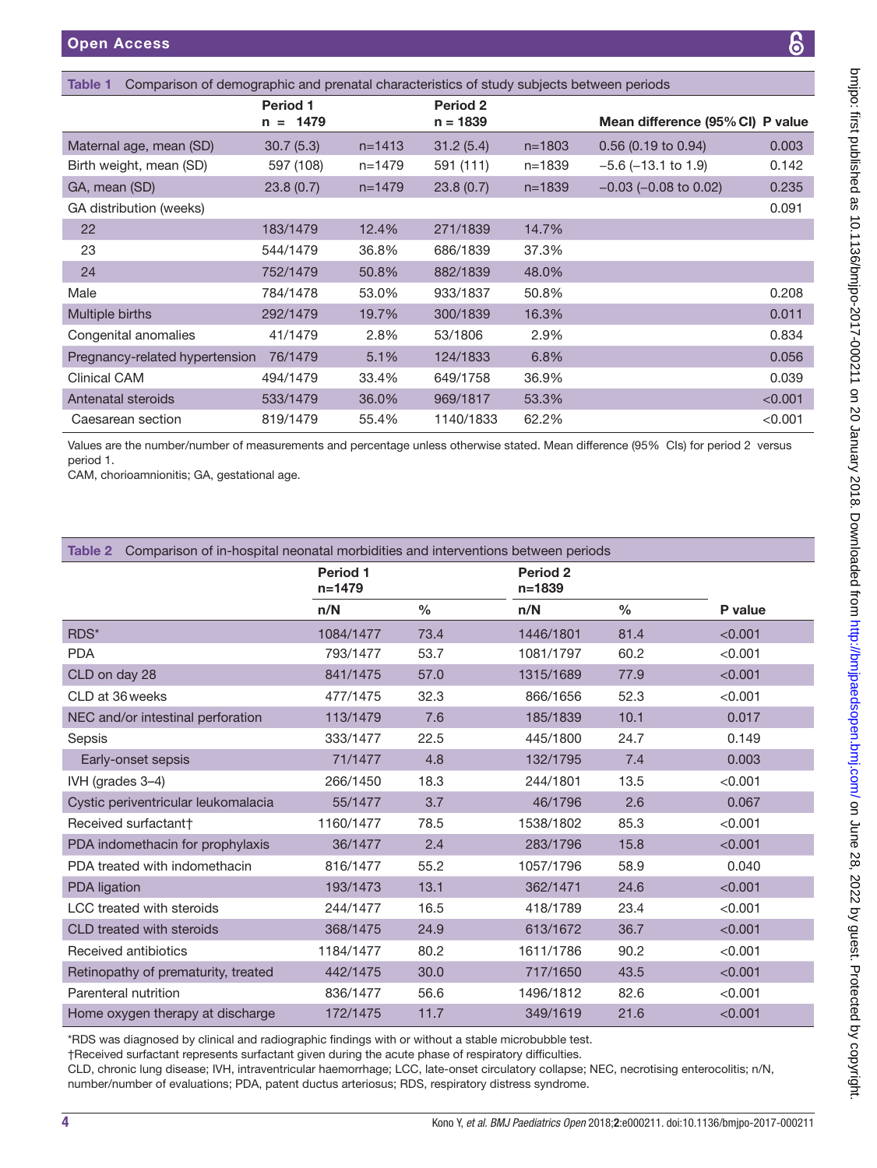<span id="page-3-0"></span>

| Table 1<br>Comparison of demographic and prenatal characteristics of study subjects between periods    |                        |                        |                                   |                               |                                  |         |
|--------------------------------------------------------------------------------------------------------|------------------------|------------------------|-----------------------------------|-------------------------------|----------------------------------|---------|
|                                                                                                        | Period 1<br>$n = 1479$ |                        | Period <sub>2</sub><br>$n = 1839$ |                               | Mean difference (95% CI) P value |         |
| Maternal age, mean (SD)                                                                                | 30.7(5.3)              | $n = 1413$             | 31.2(5.4)                         | $n = 1803$                    | 0.56 (0.19 to 0.94)              | 0.003   |
| Birth weight, mean (SD)                                                                                | 597 (108)              | $n = 1479$             | 591 (111)                         | $n = 1839$                    | $-5.6$ ( $-13.1$ to 1.9)         | 0.142   |
| GA, mean (SD)                                                                                          | 23.8(0.7)              | $n = 1479$             | 23.8(0.7)                         | $n = 1839$                    | $-0.03$ ( $-0.08$ to 0.02)       | 0.235   |
| GA distribution (weeks)                                                                                |                        |                        |                                   |                               |                                  | 0.091   |
| 22                                                                                                     | 183/1479               | 12.4%                  | 271/1839                          | 14.7%                         |                                  |         |
| 23                                                                                                     | 544/1479               | 36.8%                  | 686/1839                          | 37.3%                         |                                  |         |
| 24                                                                                                     | 752/1479               | 50.8%                  | 882/1839                          | 48.0%                         |                                  |         |
| Male                                                                                                   | 784/1478               | 53.0%                  | 933/1837                          | 50.8%                         |                                  | 0.208   |
| Multiple births                                                                                        | 292/1479               | 19.7%                  | 300/1839                          | 16.3%                         |                                  | 0.011   |
| Congenital anomalies                                                                                   | 41/1479                | 2.8%                   | 53/1806                           | 2.9%                          |                                  | 0.834   |
| Pregnancy-related hypertension                                                                         | 76/1479                | 5.1%                   | 124/1833                          | 6.8%                          |                                  | 0.056   |
| <b>Clinical CAM</b>                                                                                    | 494/1479               | 33.4%                  | 649/1758                          | 36.9%                         |                                  | 0.039   |
| Antenatal steroids                                                                                     | 533/1479               | 36.0%                  | 969/1817                          | 53.3%                         |                                  | < 0.001 |
| Caesarean section                                                                                      | 819/1479               | 55.4%                  | 1140/1833                         | 62.2%                         |                                  | < 0.001 |
| Table <sub>2</sub><br>Comparison of in-hospital neonatal morbidities and interventions between periods |                        |                        |                                   |                               |                                  |         |
|                                                                                                        |                        | Period 1<br>$n = 1479$ |                                   | Period <sub>2</sub><br>n=1839 |                                  |         |
|                                                                                                        | n/N                    |                        | $\frac{0}{0}$                     | n/N                           | $\%$                             | P value |
| RDS*                                                                                                   |                        | 1084/1477              | 73.4                              | 1446/1801                     | 81.4                             | < 0.001 |
| PDA                                                                                                    |                        | 793/1477               | 53.7                              | 1081/1797                     | 60.2                             | < 0.001 |
| CLD on day 28                                                                                          |                        | 841/1475               | 57.0                              | 1315/1689                     | 77.9                             | < 0.001 |
| CLD at 36 weeks                                                                                        |                        | 477/1475               | 32.3                              | 866/1656                      | 52.3                             | < 0.001 |
| NEC and/or intestinal perforation                                                                      |                        | 113/1479               | 7.6                               | 185/1839                      | 10.1                             | 0.017   |
| Sepsis                                                                                                 |                        | 333/1477               | 22.5                              | 445/1800                      | 24.7                             | 0.149   |
| Early-onset sepsis                                                                                     |                        | 71/1477                | 4.8                               | 132/1795                      | 7.4                              | 0.003   |
| IVH (grades 3-4)                                                                                       |                        | 266/1450               | 18.3                              | 244/1801                      | 13.5                             | < 0.001 |
| Cystic periventricular leukomalacia                                                                    |                        | 55/1477                | 3.7                               | 46/1796                       | 2.6                              | 0.067   |
| Received surfactant†                                                                                   |                        | 1160/1477              | 78.5                              | 1538/1802                     | 85.3                             | < 0.001 |
| PDA indomethacin for prophylaxis                                                                       |                        | 36/1477                | 2.4                               | 283/1796                      | 15.8                             | < 0.001 |
| PDA treated with indomethacin                                                                          |                        | 816/1477               | 55.2                              | 1057/1796                     | 58.9                             | 0.040   |

|                                                                                                                                                                                                | n/N      |                               | $\frac{0}{0}$ | n/N                    | $\frac{0}{0}$ | P value |
|------------------------------------------------------------------------------------------------------------------------------------------------------------------------------------------------|----------|-------------------------------|---------------|------------------------|---------------|---------|
|                                                                                                                                                                                                |          | <b>Period 1</b><br>$n = 1479$ |               | Period 2<br>$n = 1839$ |               |         |
| Comparison of in-hospital neonatal morbidities and interventions between periods<br>Table 2                                                                                                    |          |                               |               |                        |               |         |
| Values are the number/number of measurements and percentage unless otherwise stated. Mean difference (95% CIs) for period 2 versus<br>period 1.<br>CAM, chorioamnionitis; GA, gestational age. |          |                               |               |                        |               |         |
| Caesarean section                                                                                                                                                                              | 819/1479 | 55.4%                         | 1140/1833     | 62.2%                  |               | < 0.001 |
| Antenatal steroids                                                                                                                                                                             | 533/1479 | 36.0%                         | 969/1817      | 53.3%                  |               | < 0.001 |
| Clinical CAM                                                                                                                                                                                   | 494/1479 | 33.4%                         | 649/1758      | 36.9%                  |               | 0.039   |
| Pregnancy-related hypertension                                                                                                                                                                 | 76/1479  | 5.1%                          | 124/1833      | 6.8%                   |               | 0.056   |

<span id="page-3-1"></span>

|                                     | $n = 1479$ |               | $n = 1839$ |               |         |
|-------------------------------------|------------|---------------|------------|---------------|---------|
|                                     | n/N        | $\frac{0}{0}$ | n/N        | $\frac{0}{0}$ | P value |
| RDS*                                | 1084/1477  | 73.4          | 1446/1801  | 81.4          | < 0.001 |
| PDA                                 | 793/1477   | 53.7          | 1081/1797  | 60.2          | < 0.001 |
| CLD on day 28                       | 841/1475   | 57.0          | 1315/1689  | 77.9          | < 0.001 |
| CLD at 36 weeks                     | 477/1475   | 32.3          | 866/1656   | 52.3          | < 0.001 |
| NEC and/or intestinal perforation   | 113/1479   | 7.6           | 185/1839   | 10.1          | 0.017   |
| Sepsis                              | 333/1477   | 22.5          | 445/1800   | 24.7          | 0.149   |
| Early-onset sepsis                  | 71/1477    | 4.8           | 132/1795   | 7.4           | 0.003   |
| IVH (grades 3-4)                    | 266/1450   | 18.3          | 244/1801   | 13.5          | < 0.001 |
| Cystic periventricular leukomalacia | 55/1477    | 3.7           | 46/1796    | 2.6           | 0.067   |
| Received surfactant†                | 1160/1477  | 78.5          | 1538/1802  | 85.3          | < 0.001 |
| PDA indomethacin for prophylaxis    | 36/1477    | 2.4           | 283/1796   | 15.8          | < 0.001 |
| PDA treated with indomethacin       | 816/1477   | 55.2          | 1057/1796  | 58.9          | 0.040   |
| PDA ligation                        | 193/1473   | 13.1          | 362/1471   | 24.6          | < 0.001 |
| LCC treated with steroids           | 244/1477   | 16.5          | 418/1789   | 23.4          | < 0.001 |
| <b>CLD treated with steroids</b>    | 368/1475   | 24.9          | 613/1672   | 36.7          | < 0.001 |
| Received antibiotics                | 1184/1477  | 80.2          | 1611/1786  | 90.2          | < 0.001 |
| Retinopathy of prematurity, treated | 442/1475   | 30.0          | 717/1650   | 43.5          | < 0.001 |
| Parenteral nutrition                | 836/1477   | 56.6          | 1496/1812  | 82.6          | < 0.001 |
| Home oxygen therapy at discharge    | 172/1475   | 11.7          | 349/1619   | 21.6          | < 0.001 |

\*RDS was diagnosed by clinical and radiographic findings with or without a stable microbubble test.

†Received surfactant represents surfactant given during the acute phase of respiratory difficulties.

CLD, chronic lung disease; IVH, intraventricular haemorrhage; LCC, late-onset circulatory collapse; NEC, necrotising enterocolitis; n/N, number/number of evaluations; PDA, patent ductus arteriosus; RDS, respiratory distress syndrome.

I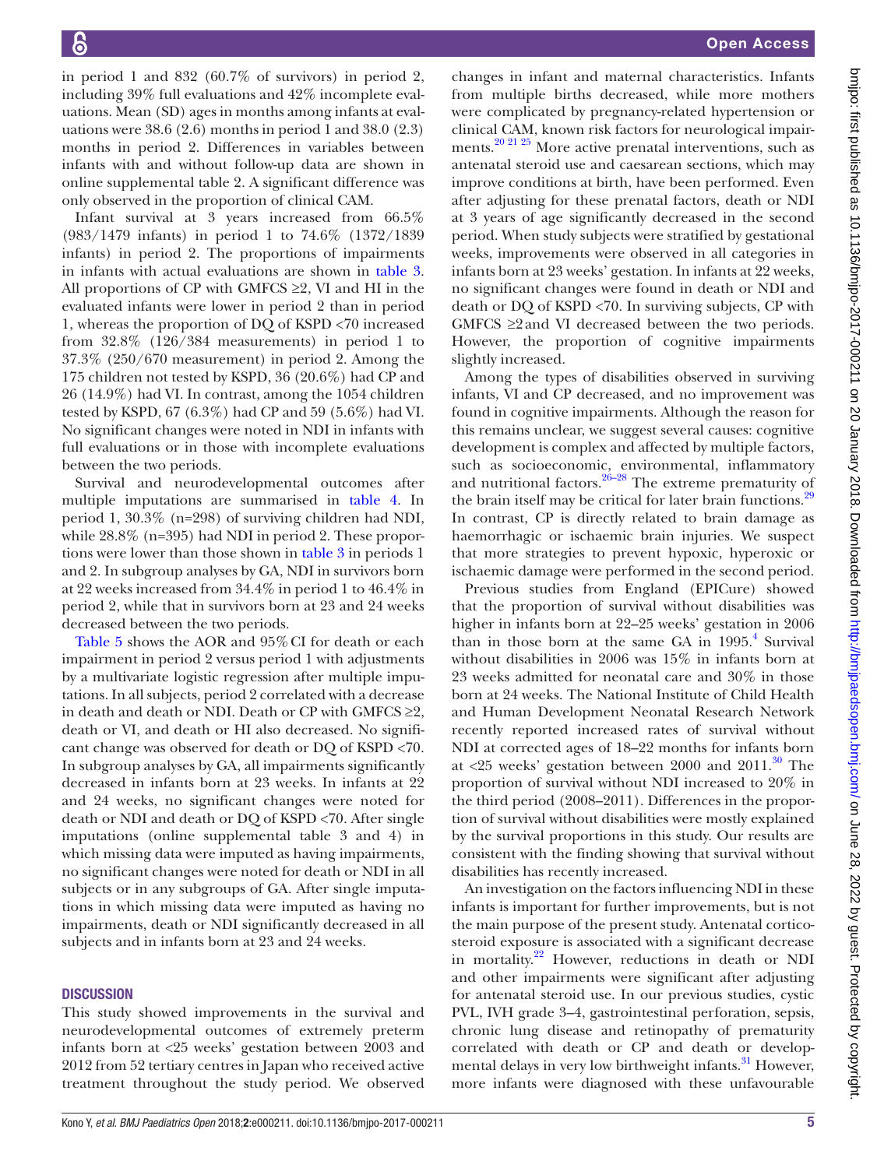in period 1 and 832 (60.7% of survivors) in period 2, including 39% full evaluations and 42% incomplete evaluations. Mean (SD) ages in months among infants at evaluations were 38.6 (2.6) months in period 1 and 38.0 (2.3) months in period 2. Differences in variables between infants with and without follow-up data are shown in online [supplemental table 2](https://dx.doi.org/10.1136/bmjpo-2017-000211). A significant difference was only observed in the proportion of clinical CAM.

Infant survival at 3 years increased from 66.5% (983/1479 infants) in period 1 to 74.6% (1372/1839 infants) in period 2. The proportions of impairments in infants with actual evaluations are shown in [table](#page-5-0) 3. All proportions of CP with GMFCS  $\geq 2$ , VI and HI in the evaluated infants were lower in period 2 than in period 1, whereas the proportion of DQ of KSPD <70 increased from 32.8% (126/384 measurements) in period 1 to 37.3% (250/670 measurement) in period 2. Among the 175 children not tested by KSPD, 36 (20.6%) had CP and 26 (14.9%) had VI. In contrast, among the 1054 children tested by KSPD, 67 (6.3%) had CP and 59 (5.6%) had VI. No significant changes were noted in NDI in infants with full evaluations or in those with incomplete evaluations between the two periods.

Survival and neurodevelopmental outcomes after multiple imputations are summarised in [table](#page-6-0) 4. In period 1, 30.3% (n=298) of surviving children had NDI, while 28.8% (n=395) had NDI in period 2. These proportions were lower than those shown in [table](#page-5-0) 3 in periods 1 and 2. In subgroup analyses by GA, NDI in survivors born at 22 weeks increased from 34.4% in period 1 to 46.4% in period 2, while that in survivors born at 23 and 24 weeks decreased between the two periods.

[Table](#page-7-0) 5 shows the AOR and 95%CI for death or each impairment in period 2 versus period 1 with adjustments by a multivariate logistic regression after multiple imputations. In all subjects, period 2 correlated with a decrease in death and death or NDI. Death or CP with GMFCS  $\geq 2$ , death or VI, and death or HI also decreased. No significant change was observed for death or DQ of KSPD <70. In subgroup analyses by GA, all impairments significantly decreased in infants born at 23 weeks. In infants at 22 and 24 weeks, no significant changes were noted for death or NDI and death or DQ of KSPD <70. After single imputations (online [supplemental table 3 and 4](https://dx.doi.org/10.1136/bmjpo-2017-000211)) in which missing data were imputed as having impairments, no significant changes were noted for death or NDI in all subjects or in any subgroups of GA. After single imputations in which missing data were imputed as having no impairments, death or NDI significantly decreased in all subjects and in infants born at 23 and 24 weeks.

#### **DISCUSSION**

This study showed improvements in the survival and neurodevelopmental outcomes of extremely preterm infants born at <25 weeks' gestation between 2003 and 2012 from 52 tertiary centres in Japan who received active treatment throughout the study period. We observed

changes in infant and maternal characteristics. Infants from multiple births decreased, while more mothers were complicated by pregnancy-related hypertension or clinical CAM, known risk factors for neurological impairments.[20 21 25](#page-9-1) More active prenatal interventions, such as antenatal steroid use and caesarean sections, which may improve conditions at birth, have been performed. Even after adjusting for these prenatal factors, death or NDI at 3 years of age significantly decreased in the second period. When study subjects were stratified by gestational weeks, improvements were observed in all categories in infants born at 23 weeks' gestation. In infants at 22 weeks, no significant changes were found in death or NDI and death or DQ of KSPD <70. In surviving subjects, CP with GMFCS  $\geq$ 2 and VI decreased between the two periods. However, the proportion of cognitive impairments slightly increased.

Among the types of disabilities observed in surviving infants, VI and CP decreased, and no improvement was found in cognitive impairments. Although the reason for this remains unclear, we suggest several causes: cognitive development is complex and affected by multiple factors, such as socioeconomic, environmental, inflammatory and nutritional factors.  $26-28$  The extreme prematurity of the brain itself may be critical for later brain functions. $29$ In contrast, CP is directly related to brain damage as haemorrhagic or ischaemic brain injuries. We suspect that more strategies to prevent hypoxic, hyperoxic or ischaemic damage were performed in the second period.

Previous studies from England (EPICure) showed that the proportion of survival without disabilities was higher in infants born at 22–25 weeks' gestation in 2006 than in those born at the same GA in  $1995.^4$  Survival without disabilities in 2006 was 15% in infants born at 23 weeks admitted for neonatal care and 30% in those born at 24 weeks. The National Institute of Child Health and Human Development Neonatal Research Network recently reported increased rates of survival without NDI at corrected ages of 18–22 months for infants born at  $\langle 25 \rangle$  weeks' gestation between 2000 and 2011.<sup>[30](#page-9-4)</sup> The proportion of survival without NDI increased to 20% in the third period (2008–2011). Differences in the proportion of survival without disabilities were mostly explained by the survival proportions in this study. Our results are consistent with the finding showing that survival without disabilities has recently increased.

An investigation on the factors influencing NDI in these infants is important for further improvements, but is not the main purpose of the present study. Antenatal corticosteroid exposure is associated with a significant decrease in mortality.[22](#page-9-5) However, reductions in death or NDI and other impairments were significant after adjusting for antenatal steroid use. In our previous studies, cystic PVL, IVH grade 3–4, gastrointestinal perforation, sepsis, chronic lung disease and retinopathy of prematurity correlated with death or CP and death or develop-mental delays in very low birthweight infants.<sup>[31](#page-9-6)</sup> However, more infants were diagnosed with these unfavourable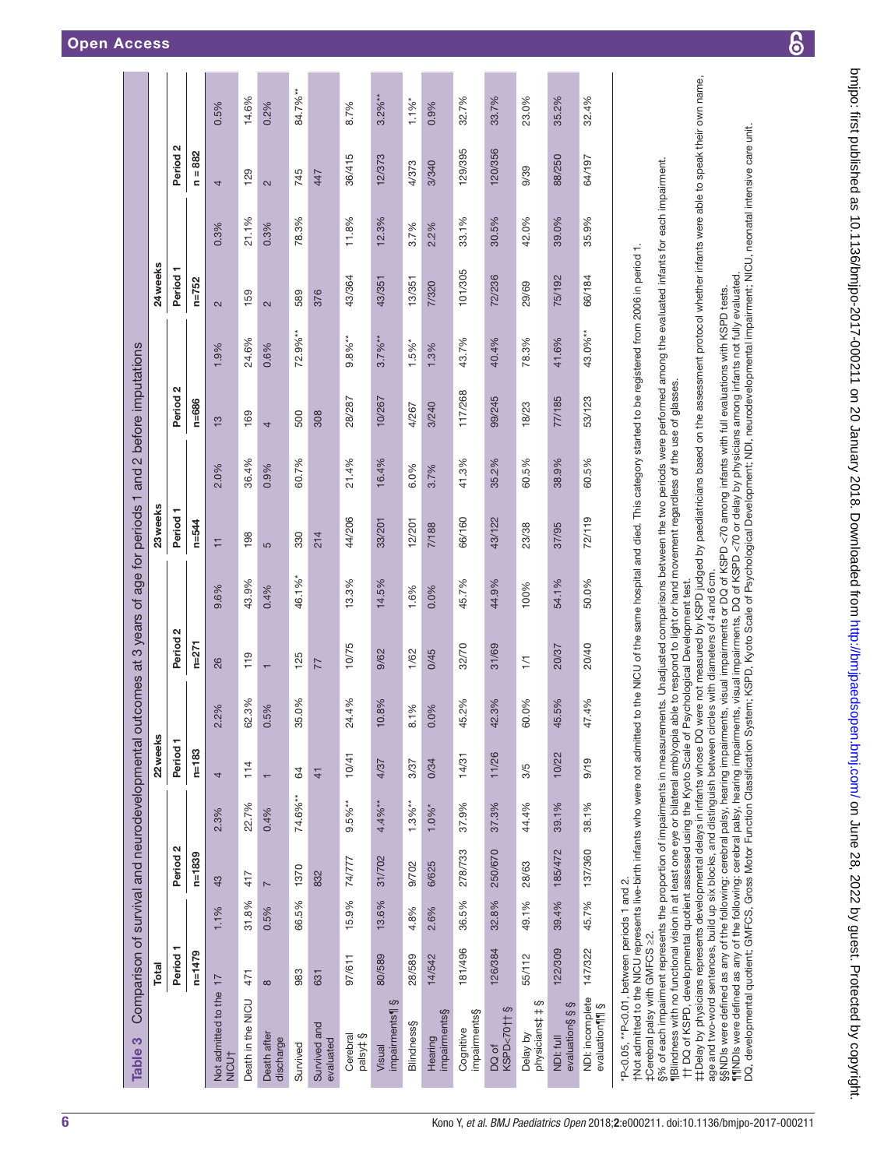| Table 3                                     | Comparison of survival and neurodevelopmental |       |                     |            |                     |       |                     |        |                     |       | outcomes at 3 years of age for periods 1 and 2 before imputations |                      |                     |       |                           |            |
|---------------------------------------------|-----------------------------------------------|-------|---------------------|------------|---------------------|-------|---------------------|--------|---------------------|-------|-------------------------------------------------------------------|----------------------|---------------------|-------|---------------------------|------------|
|                                             | Total                                         |       |                     |            | 22 weeks            |       |                     |        | 23weeks             |       |                                                                   |                      | 24 weeks            |       |                           |            |
|                                             | Period <sub>1</sub>                           |       | Period <sub>2</sub> |            | Period <sub>1</sub> |       | Period <sub>2</sub> |        | Period <sub>1</sub> |       | Period <sub>2</sub>                                               |                      | Period <sub>1</sub> |       | Period <sub>2</sub>       |            |
|                                             | $n = 1479$                                    |       | $n = 1839$          |            | $n = 183$           |       | $n = 271$           |        | $n = 544$           |       | $n = 686$                                                         |                      | $n = 752$           |       | $= 882$<br>$\blacksquare$ |            |
| Not admitted to the<br>NICU <sub>T</sub>    | $\overline{17}$                               | 1.1%  | 43                  | 2.3%       | 4                   | 2.2%  | 26                  | 9.6%   | Ξ                   | 2.0%  | $\frac{3}{2}$                                                     | 1.9%                 | $\mathbf{\Omega}$   | 0.3%  | 4                         | 0.5%       |
| Death in the NICU                           | 471                                           | 31.8% | 417                 | 22.7%      | 114                 | 62.3% | 119                 | 43.9%  | 198                 | 36.4% | 169                                                               | 24.6%                | <b>59</b>           | 21.1% | 129                       | 14.6%      |
| Death after<br>discharge                    | $\infty$                                      | 0.5%  | $\overline{ }$      | 0.4%       |                     | 0.5%  |                     | 0.4%   | 5                   | 0.9%  | 4                                                                 | 0.6%                 | $\mathbf{\Omega}$   | 0.3%  | $\mathbf{\Omega}$         | 0.2%       |
| Survived                                    | 983                                           | 66.5% | 1370                | 74.6%**    | \$                  | 35.0% | 125                 | 46.1%* | 330                 | 60.7% | 500                                                               | $72.9%$ **           | 589                 | 78.3% | 745                       | 84.7%**    |
| Survived and<br>evaluated                   | 631                                           |       | 832                 |            | $\frac{4}{3}$       |       | 77                  |        | 214                 |       | 308                                                               |                      | 376                 |       | 447                       |            |
| palsy‡ §<br>Cerebral                        | 97/611                                        | 15.9% | 74/777              | $9.5\%$ ** | 10/41               | 24.4% | 10/75               | 13.3%  | 44/206              | 21.4% | 28/287                                                            | $9.8\%$ **           | 43/364              | 11.8% | 36/415                    | 8.7%       |
| impairments¶ §<br>Visual                    | 80/589                                        | 13.6% | 31/702              | $4.4\%$ ** | 4/37                | 10.8% | 9/62                | 14.5%  | 33/201              | 16.4% | 10/267                                                            | $3.7\%**$            | 43/351              | 12.3% | 12/373                    | $3.2\%***$ |
| <b>Blindness</b>                            | 28/589                                        | 4.8%  | 9/702               | $1.3\%$ ** | 3/37                | 8.1%  | 1/62                | 1.6%   | 12/201              | 6.0%  | 4/267                                                             | $1.5\%$ <sup>*</sup> | 13/351              | 3.7%  | 4/373                     | $1.1\%$ *  |
| impairments§<br>Hearing                     | 14/542                                        | 2.6%  | 6/625               | $1.0\%$ *  | 0/34                | 0.0%  | 0/45                | 0.0%   | 7/188               | 3.7%  | 3/240                                                             | 1.3%                 | 7/320               | 2.2%  | 3/340                     | 0.9%       |
| impairments§<br>Cognitive                   | 181/496                                       | 36.5% | 278/733             | 37.9%      | 14/31               | 45.2% | 32/70               | 45.7%  | 66/160              | 41.3% | 117/268                                                           | 43.7%                | 101/305             | 33.1% | 129/395                   | 32.7%      |
| Ş<br>KSPD<7011<br>DQ of                     | 126/384                                       | 32.8% | 250/670             | 37.3%      | 11/26               | 42.3% | 31/69               | 44.9%  | 43/122              | 35.2% | 99/245                                                            | 40.4%                | 72/236              | 30.5% | 120/356                   | 33.7%      |
| ဖ<br>$^+$<br>physicians‡<br>Delay by        | 55/112                                        | 49.1% | 28/63               | 44.4%      | 3/5                 | 60.0% | $\overline{1}$      | 100%   | 23/38               | 60.5% | 18/23                                                             | 78.3%                | 29/69               | 42.0% | 9/39                      | 23.0%      |
| evaluation§ § §<br>NDI: full                | 122/309                                       | 39.4% | 185/472             | 39.1%      | 10/22               | 45.5% | 20/37               | 54.1%  | 37/95               | 38.9% | 77/185                                                            | 41.6%                | 75/192              | 39.0% | 88/250                    | 35.2%      |
| NDI: incomplete<br>evaluation¶¶ §           | 147/322                                       | 45.7% | 137/360             | 38.1%      | 9/19                | 47.4% | 20/40               | 50.0%  | 72/119              | 60.5% | 53/123                                                            | 43.0%**              | 66/184              | 35.9% | 64/197                    | 32.4%      |
| *P<0.05, **P<0.01, between periods 1 and 2. |                                               |       |                     |            |                     |       |                     |        |                     |       |                                                                   |                      |                     |       |                           |            |

<span id="page-5-0"></span>

| ٠                         |  |
|---------------------------|--|
| ċ.<br>J                   |  |
|                           |  |
| č<br>a<br>B               |  |
|                           |  |
|                           |  |
|                           |  |
|                           |  |
|                           |  |
| noviod                    |  |
|                           |  |
|                           |  |
|                           |  |
|                           |  |
|                           |  |
|                           |  |
|                           |  |
|                           |  |
|                           |  |
|                           |  |
| ;                         |  |
|                           |  |
|                           |  |
|                           |  |
|                           |  |
|                           |  |
|                           |  |
| $N^*D$                    |  |
|                           |  |
|                           |  |
|                           |  |
|                           |  |
|                           |  |
| <b>D</b> <sub>20</sub> 05 |  |
|                           |  |
|                           |  |
|                           |  |
|                           |  |
|                           |  |

Not admitted to the NICU represents live-birth infants who were not admitted to the NICU of the same hospital and died. This category started to be registered from 2006 in period 1. †Not admitted to the NICU represents live-birth infants who were not admitted to the NICU of the same hospital and died. This category started to be registered from 2006 in period 1. ‡Cerebral palsy with GMFCS ≥2. ‡Cerebral palsy with GMFCS ≥2.

§% of each impairment represents the proportion of impairments in measurements. Unadjusted comparisons between the two periods were performed among the evaluated infants for each impairment. §% of each impairment represents the proportion of impairments in measurements. Unadjusted comparisons between the two periods were performed among the evaluated infants for each impairment.

IBlindness with no functional vision in at least one eye or bilateral amblyopia able to respond to light or hand movement regardless of the use of glasses. ¶Blindness with no functional vision in at least one eye or bilateral amblyopia able to respond to light or hand movement regardless of the use of glasses.

tt DQ of KSPD, developmental quotient assessed using the Kyoto Scale of Psychological Development test. †† DQ of KSPD, developmental quotient assessed using the Kyoto Scale of Psychological Development test.

‡‡Delay by physicians represents developmental delays in infants whose DQ were not measured by KSPD judged by paediatricians based on the assessment protocol whether infants were able to speak their own name, ttDelay by physicians represents developmental delays in infants whose DQ were not measured by KSPD judged by paediatricians based on the assessment protocol whether infants were able to speak their own name, age and two-word sentences, build up six blocks, and distinguish between circles with diameters of 4 and 6cm.<br>§§NDls were defined as any of the following: cerebral palsy, hearing impairments, visual impairments or DQ of K age and two-word sentences, build up six blocks, and distinguish between circles with diameters of 4and 6cm.

§§NDIs were defined as any of the following: cerebral palsy, hearing impairments, visual impairments or DQ of KSPD <70 among infants with full evaluations with KSPD tests.

¶¶NDIs were defined as any of the following: cerebral palsy, hearing impairments, visual impairments, DQ of KSPD <70 or delay by physicians among infants not fully evaluated.

DQ, developmental quotient; GMFCS, Gross Motor Function Classification System; KSPD, Kyoto Scale of Psychological Development; NDI, neurodevelopmental impairment; NICU, neonatal intensive care unit. DQ, developmental quotient; GMFCS, Gross Motor Function Classification System; KSPD, Kyoto Scale of Psychological Development; NDI, neurodevelopmental impairment; NICU, neonatal intensive care unit.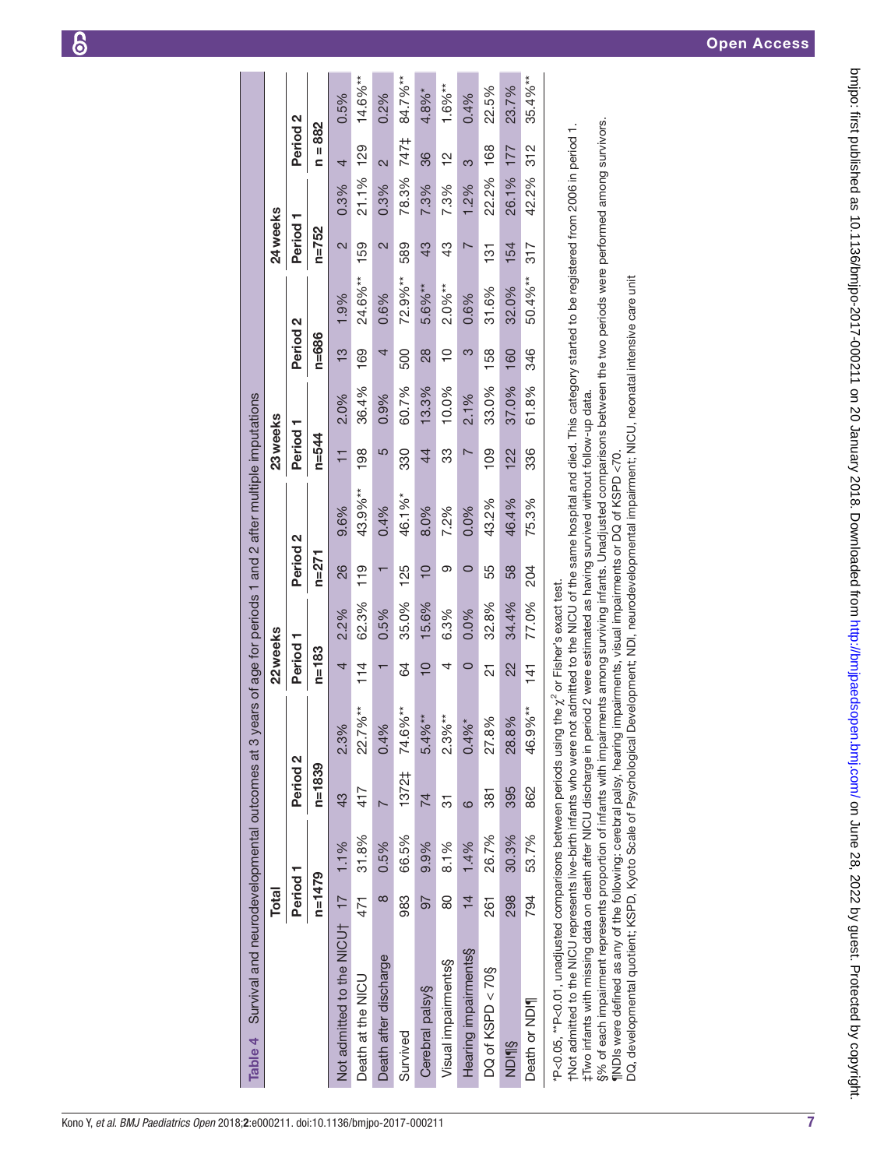|                              | <b>Total</b>  |       |                     |                         | 22 weeks            |       |                     |         | 23weeks             |       |                     |             | 24 weeks            |       |                                 |
|------------------------------|---------------|-------|---------------------|-------------------------|---------------------|-------|---------------------|---------|---------------------|-------|---------------------|-------------|---------------------|-------|---------------------------------|
|                              | Period        |       | Period <sub>2</sub> |                         | Period <sub>1</sub> |       | Period <sub>2</sub> |         | Period <sub>1</sub> |       | Period <sub>2</sub> |             | Period <sub>1</sub> |       | Period <sub>2</sub>             |
|                              | $n = 1479$    |       | $n = 1839$          |                         | $n = 183$           |       | $n=271$             |         | n=544               |       | $n = 686$           |             | $n = 752$           |       | $n = 882$                       |
| Not admitted to the NICU+ 17 |               | 1.1%  | $\frac{3}{4}$       | $\frac{8}{3}$<br>23     | 4                   | 2.2%  | 26                  | 9.6%    | $\overline{1}$      | 2.0%  | $\frac{3}{2}$       | 1.9%        | 2                   | 0.3%  | 0.5%<br>4                       |
| Death at the NICU            | 471           | 31.8% | 417                 | $.7\%$ **<br><u>ର୍</u>  | 114                 | 62.3% | 119                 | 43.9%** | $\frac{8}{6}$       | 36.4% | 169                 | 24.6%**     | 159                 | 21.1% | $14.6\%$ **<br>129              |
| Death after discharge        | $\infty$      | 0.5%  |                     | $\%$<br>$\overline{0}.$ |                     | 0.5%  |                     | 0.4%    | 5                   | 0.9%  | 4                   | 0.6%        | 2                   | 0.3%  | 0.2%<br>$\overline{\mathsf{c}}$ |
| Survived                     | 983           | 66.5% | 1372‡               | $.6\%$ **<br>74.        | 84                  | 35.0% | 125                 | 46.1%*  | 330                 | 60.7% | 500                 | $72.9\%***$ | 589                 | 78.3% | 84.7%**<br><b>147‡</b>          |
| Cerebral palsy§              | 97            | 9.9%  | 74                  | $%$ **<br>5.4           | $\frac{1}{2}$       | 15.6% | $\overline{C}$      | 8.0%    | $\overline{4}$      | 13.3% | 28                  | 5.6%**      | $\frac{3}{4}$       | 7.3%  | $4.8\%$ *<br>36                 |
| Visual impairments§          | 80            | 8.1%  | 5                   | $\frac{1}{2}$<br>ი<br>ა | 4                   | 6.3%  | တ                   | 7.2%    | 33                  | 10.0% | $\frac{1}{2}$       | $2.0\%**$   | 43                  | 7.3%  | $1.6\%$ **<br>$\frac{1}{2}$     |
| Hearing impairments§         | $\frac{1}{4}$ | 1.4%  | O                   | %<br>0.4                | 0                   | 0.0%  | $\circ$             | 0.0%    |                     | 2.1%  | 3                   | 0.6%        |                     | 1.2%  | 0.4%<br>ო                       |
| $DQ$ of $KSPD < 70$ §        | 261           | 26.7% | 381                 | 8%<br>27.               | ភ                   | 32.8% | 55                  | 43.2%   | $\frac{80}{1}$      | 33.0% | 158                 | 31.6%       | 131                 | 22.2% | 22.5%<br>168                    |
| <b>SILION</b>                | 298           | 30.3% | 395                 | .8%<br>28.              | 22                  | 34.4% | 58                  | 46.4%   | <b>22</b>           | 37.0% | 160                 | 32.0%       | 154                 | 26.1% | 23.7%<br>177                    |
| Death or NDI1                | 794           | 53.7% | 862                 | $.9\%$ **<br>46.        | 141                 | 77.0% | 204                 | 75.3%   | 336                 | 61.8% | 346                 | 50.4%**     | 317                 | 42.2% | $35.4%$ **<br>312               |

<span id="page-6-0"></span>

n Not admitted to the NICU represents live-birth infants who were not admitted to the NICU of the same hospital and died. This category started to be registered from 2006 in period 1.<br>Not admitted to the NICU represents li †Not admitted to the NICU represents live-birth infants who were not admitted to the NICU of the same hospital and died. This category started to be registered from 2006 in period 1.

Flwo infants with missing data on death after NICU discharge in period 2 were estimated as having survived without follow-up data. ‡Two infants with missing data on death after NICU discharge in period 2 were estimated as having survived without follow-up data.

§% of each impairment represents proportion of infants with impairments among surviving infants. Unadjusted comparisons between the two periods were performed among survivors. §% of each impairment represents proportion of infants with impairments among surviving infants. Unadjusted comparisons between the two periods were performed among survivors. INDIs were defined as any of the following: cerebral palsy, hearing impairments, visual impairments or DQ of KSPD <70. ¶NDIs were defined as any of the following: cerebral palsy, hearing impairments, visual impairments or DQ of KSPD <70.

DQ, developmental quotient; KSPD, Kyoto Scale of Psychological Development; NDI, neurodevelopmental impairment; NICU, neonatal intensive care unit DQ, developmental quotient; KSPD, Kyoto Scale of Psychological Development; NDI, neurodevelopmental impairment; NICU, neonatal intensive care unit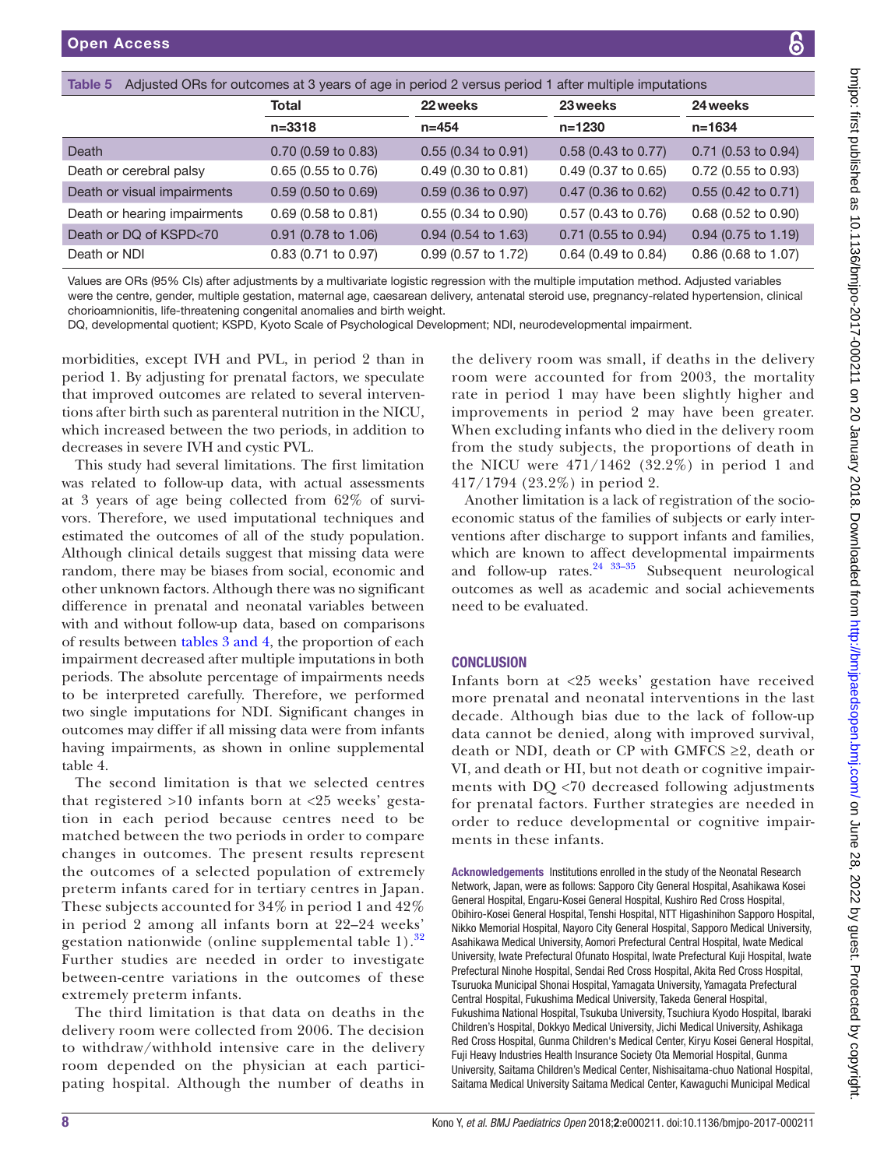<span id="page-7-0"></span>

| Table 5                      | Adjusted ORs for outcomes at 3 years of age in period 2 versus period 1 after multiple imputations |                               |                       |                       |
|------------------------------|----------------------------------------------------------------------------------------------------|-------------------------------|-----------------------|-----------------------|
|                              | Total                                                                                              | 22 weeks                      | 23 weeks              | 24 weeks              |
|                              | $n = 3318$                                                                                         | $n = 454$                     | $n = 1230$            | $n = 1634$            |
| Death                        | $0.70$ (0.59 to 0.83)                                                                              | $0.55(0.34 \text{ to } 0.91)$ | $0.58$ (0.43 to 0.77) | $0.71$ (0.53 to 0.94) |
| Death or cerebral palsy      | 0.65 (0.55 to 0.76)                                                                                | 0.49 (0.30 to 0.81)           | $0.49$ (0.37 to 0.65) | 0.72 (0.55 to 0.93)   |
| Death or visual impairments  | $0.59$ (0.50 to 0.69)                                                                              | 0.59 (0.36 to 0.97)           | 0.47 (0.36 to 0.62)   | $0.55$ (0.42 to 0.71) |
| Death or hearing impairments | $0.69$ (0.58 to 0.81)                                                                              | $0.55(0.34 \text{ to } 0.90)$ | $0.57$ (0.43 to 0.76) | 0.68 (0.52 to 0.90)   |
| Death or DQ of KSPD<70       | 0.91 (0.78 to 1.06)                                                                                | $0.94$ (0.54 to 1.63)         | 0.71 (0.55 to 0.94)   | 0.94 (0.75 to 1.19)   |
| Death or NDI                 | 0.83 (0.71 to 0.97)                                                                                | 0.99 (0.57 to 1.72)           | $0.64$ (0.49 to 0.84) | 0.86 (0.68 to 1.07)   |

Values are ORs (95% CIs) after adjustments by a multivariate logistic regression with the multiple imputation method. Adjusted variables were the centre, gender, multiple gestation, maternal age, caesarean delivery, antenatal steroid use, pregnancy-related hypertension, clinical chorioamnionitis, life-threatening congenital anomalies and birth weight.

DQ, developmental quotient; KSPD, Kyoto Scale of Psychological Development; NDI, neurodevelopmental impairment.

morbidities, except IVH and PVL, in period 2 than in period 1. By adjusting for prenatal factors, we speculate that improved outcomes are related to several interventions after birth such as parenteral nutrition in the NICU, which increased between the two periods, in addition to decreases in severe IVH and cystic PVL.

This study had several limitations. The first limitation was related to follow-up data, with actual assessments at 3 years of age being collected from 62% of survivors. Therefore, we used imputational techniques and estimated the outcomes of all of the study population. Although clinical details suggest that missing data were random, there may be biases from social, economic and other unknown factors. Although there was no significant difference in prenatal and neonatal variables between with and without follow-up data, based on comparisons of results between tables [3 and 4](#page-5-0), the proportion of each impairment decreased after multiple imputations in both periods. The absolute percentage of impairments needs to be interpreted carefully. Therefore, we performed two single imputations for NDI. Significant changes in outcomes may differ if all missing data were from infants having impairments, as shown in online [supplemental](https://dx.doi.org/10.1136/bmjpo-2017-000211) [table 4](https://dx.doi.org/10.1136/bmjpo-2017-000211).

The second limitation is that we selected centres that registered  $>10$  infants born at  $<25$  weeks' gestation in each period because centres need to be matched between the two periods in order to compare changes in outcomes. The present results represent the outcomes of a selected population of extremely preterm infants cared for in tertiary centres in Japan. These subjects accounted for 34% in period 1 and 42% in period 2 among all infants born at 22–24 weeks' gestation nationwide (online [supplemental table 1\)](https://dx.doi.org/10.1136/bmjpo-2017-000211).<sup>[32](#page-9-7)</sup> Further studies are needed in order to investigate between-centre variations in the outcomes of these extremely preterm infants.

The third limitation is that data on deaths in the delivery room were collected from 2006. The decision to withdraw/withhold intensive care in the delivery room depended on the physician at each participating hospital. Although the number of deaths in

the delivery room was small, if deaths in the delivery room were accounted for from 2003, the mortality rate in period 1 may have been slightly higher and improvements in period 2 may have been greater. When excluding infants who died in the delivery room from the study subjects, the proportions of death in the NICU were  $471/1462$  (32.2%) in period 1 and 417/1794 (23.2%) in period 2.

Another limitation is a lack of registration of the socioeconomic status of the families of subjects or early interventions after discharge to support infants and families, which are known to affect developmental impairments and follow-up rates. $24 \frac{33-35}{3}$  Subsequent neurological outcomes as well as academic and social achievements need to be evaluated.

# **CONCLUSION**

Infants born at <25 weeks' gestation have received more prenatal and neonatal interventions in the last decade. Although bias due to the lack of follow-up data cannot be denied, along with improved survival, death or NDI, death or CP with GMFCS ≥2, death or VI, and death or HI, but not death or cognitive impairments with DQ <70 decreased following adjustments for prenatal factors. Further strategies are needed in order to reduce developmental or cognitive impairments in these infants.

Acknowledgements Institutions enrolled in the study of the Neonatal Research Network, Japan, were as follows: Sapporo City General Hospital, Asahikawa Kosei General Hospital, Engaru-Kosei General Hospital, Kushiro Red Cross Hospital, Obihiro-Kosei General Hospital, Tenshi Hospital, NTT Higashinihon Sapporo Hospital, Nikko Memorial Hospital, Nayoro City General Hospital, Sapporo Medical University, Asahikawa Medical University, Aomori Prefectural Central Hospital, Iwate Medical University, Iwate Prefectural Ofunato Hospital, Iwate Prefectural Kuji Hospital, Iwate Prefectural Ninohe Hospital, Sendai Red Cross Hospital, Akita Red Cross Hospital, Tsuruoka Municipal Shonai Hospital, Yamagata University, Yamagata Prefectural Central Hospital, Fukushima Medical University, Takeda General Hospital, Fukushima National Hospital, Tsukuba University, Tsuchiura Kyodo Hospital, Ibaraki Children's Hospital, Dokkyo Medical University, Jichi Medical University, Ashikaga Red Cross Hospital, Gunma Children's Medical Center, Kiryu Kosei General Hospital, Fuji Heavy Industries Health Insurance Society Ota Memorial Hospital, Gunma University, Saitama Children's Medical Center, Nishisaitama-chuo National Hospital, Saitama Medical University Saitama Medical Center, Kawaguchi Municipal Medical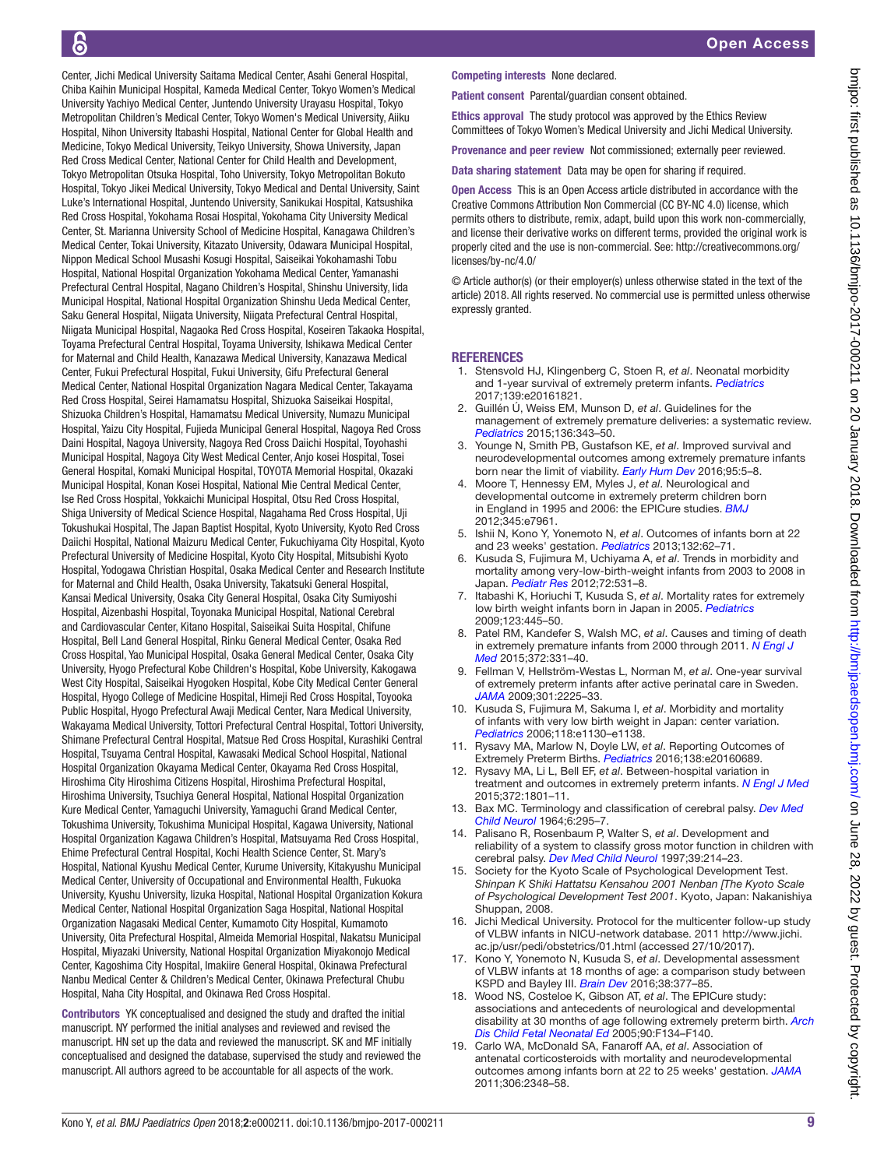Center, Jichi Medical University Saitama Medical Center, Asahi General Hospital, Chiba Kaihin Municipal Hospital, Kameda Medical Center, Tokyo Women's Medical University Yachiyo Medical Center, Juntendo University Urayasu Hospital, Tokyo Metropolitan Children's Medical Center, Tokyo Women's Medical University, Aiiku Hospital, Nihon University Itabashi Hospital, National Center for Global Health and Medicine, Tokyo Medical University, Teikyo University, Showa University, Japan Red Cross Medical Center, National Center for Child Health and Development, Tokyo Metropolitan Otsuka Hospital, Toho University, Tokyo Metropolitan Bokuto Hospital, Tokyo Jikei Medical University, Tokyo Medical and Dental University, Saint Luke's International Hospital, Juntendo University, Sanikukai Hospital, Katsushika Red Cross Hospital, Yokohama Rosai Hospital, Yokohama City University Medical Center, St. Marianna University School of Medicine Hospital, Kanagawa Children's Medical Center, Tokai University, Kitazato University, Odawara Municipal Hospital, Nippon Medical School Musashi Kosugi Hospital, Saiseikai Yokohamashi Tobu Hospital, National Hospital Organization Yokohama Medical Center, Yamanashi Prefectural Central Hospital, Nagano Children's Hospital, Shinshu University, Iida Municipal Hospital, National Hospital Organization Shinshu Ueda Medical Center, Saku General Hospital, Niigata University, Niigata Prefectural Central Hospital, Niigata Municipal Hospital, Nagaoka Red Cross Hospital, Koseiren Takaoka Hospital, Toyama Prefectural Central Hospital, Toyama University, Ishikawa Medical Center for Maternal and Child Health, Kanazawa Medical University, Kanazawa Medical Center, Fukui Prefectural Hospital, Fukui University, Gifu Prefectural General Medical Center, National Hospital Organization Nagara Medical Center, Takayama Red Cross Hospital, Seirei Hamamatsu Hospital, Shizuoka Saiseikai Hospital, Shizuoka Children's Hospital, Hamamatsu Medical University, Numazu Municipal Hospital, Yaizu City Hospital, Fujieda Municipal General Hospital, Nagoya Red Cross Daini Hospital, Nagoya University, Nagoya Red Cross Daiichi Hospital, Toyohashi Municipal Hospital, Nagoya City West Medical Center, Anjo kosei Hospital, Tosei General Hospital, Komaki Municipal Hospital, TOYOTA Memorial Hospital, Okazaki Municipal Hospital, Konan Kosei Hospital, National Mie Central Medical Center, Ise Red Cross Hospital, Yokkaichi Municipal Hospital, Otsu Red Cross Hospital, Shiga University of Medical Science Hospital, Nagahama Red Cross Hospital, Uji Tokushukai Hospital, The Japan Baptist Hospital, Kyoto University, Kyoto Red Cross Daiichi Hospital, National Maizuru Medical Center, Fukuchiyama City Hospital, Kyoto Prefectural University of Medicine Hospital, Kyoto City Hospital, Mitsubishi Kyoto Hospital, Yodogawa Christian Hospital, Osaka Medical Center and Research Institute for Maternal and Child Health, Osaka University, Takatsuki General Hospital, Kansai Medical University, Osaka City General Hospital, Osaka City Sumiyoshi Hospital, Aizenbashi Hospital, Toyonaka Municipal Hospital, National Cerebral and Cardiovascular Center, Kitano Hospital, Saiseikai Suita Hospital, Chifune Hospital, Bell Land General Hospital, Rinku General Medical Center, Osaka Red Cross Hospital, Yao Municipal Hospital, Osaka General Medical Center, Osaka City University, Hyogo Prefectural Kobe Children's Hospital, Kobe University, Kakogawa West City Hospital, Saiseikai Hyogoken Hospital, Kobe City Medical Center General Hospital, Hyogo College of Medicine Hospital, Himeji Red Cross Hospital, Toyooka Public Hospital, Hyogo Prefectural Awaji Medical Center, Nara Medical University, Wakayama Medical University, Tottori Prefectural Central Hospital, Tottori University, Shimane Prefectural Central Hospital, Matsue Red Cross Hospital, Kurashiki Central Hospital, Tsuyama Central Hospital, Kawasaki Medical School Hospital, National Hospital Organization Okayama Medical Center, Okayama Red Cross Hospital, Hiroshima City Hiroshima Citizens Hospital, Hiroshima Prefectural Hospital, Hiroshima University, Tsuchiya General Hospital, National Hospital Organization Kure Medical Center, Yamaguchi University, Yamaguchi Grand Medical Center, Tokushima University, Tokushima Municipal Hospital, Kagawa University, National Hospital Organization Kagawa Children's Hospital, Matsuyama Red Cross Hospital, Ehime Prefectural Central Hospital, Kochi Health Science Center, St. Mary's Hospital, National Kyushu Medical Center, Kurume University, Kitakyushu Municipal Medical Center, University of Occupational and Environmental Health, Fukuoka University, Kyushu University, Iizuka Hospital, National Hospital Organization Kokura Medical Center, National Hospital Organization Saga Hospital, National Hospital Organization Nagasaki Medical Center, Kumamoto City Hospital, Kumamoto University, Oita Prefectural Hospital, Almeida Memorial Hospital, Nakatsu Municipal Hospital, Miyazaki University, National Hospital Organization Miyakonojo Medical Center, Kagoshima City Hospital, Imakiire General Hospital, Okinawa Prefectural Nanbu Medical Center & Children's Medical Center, Okinawa Prefectural Chubu Hospital, Naha City Hospital, and Okinawa Red Cross Hospital.

Contributors YK conceptualised and designed the study and drafted the initial manuscript. NY performed the initial analyses and reviewed and revised the manuscript. HN set up the data and reviewed the manuscript. SK and MF initially conceptualised and designed the database, supervised the study and reviewed the manuscript. All authors agreed to be accountable for all aspects of the work.

#### Competing interests None declared.

Patient consent Parental/guardian consent obtained.

Ethics approval The study protocol was approved by the Ethics Review Committees of Tokyo Women's Medical University and Jichi Medical University.

Provenance and peer review Not commissioned; externally peer reviewed.

Data sharing statement Data may be open for sharing if required.

Open Access This is an Open Access article distributed in accordance with the Creative Commons Attribution Non Commercial (CC BY-NC 4.0) license, which permits others to distribute, remix, adapt, build upon this work non-commercially, and license their derivative works on different terms, provided the original work is properly cited and the use is non-commercial. See: [http://creativecommons.org/](http://creativecommons.org/licenses/by-nc/4.0/) [licenses/by-nc/4.0/](http://creativecommons.org/licenses/by-nc/4.0/)

© Article author(s) (or their employer(s) unless otherwise stated in the text of the article) 2018. All rights reserved. No commercial use is permitted unless otherwise expressly granted.

#### **REFERENCES**

- <span id="page-8-0"></span>1. Stensvold HJ, Klingenberg C, Stoen R, *et al*. Neonatal morbidity and 1-year survival of extremely preterm infants. *[Pediatrics](http://dx.doi.org/10.1542/peds.2016-1821)* 2017;139:e20161821.
- 2. Guillén Ú, Weiss EM, Munson D, *et al*. Guidelines for the management of extremely premature deliveries: a systematic review. *[Pediatrics](http://dx.doi.org/10.1542/peds.2015-0542)* 2015;136:343–50.
- 3. Younge N, Smith PB, Gustafson KE, *et al*. Improved survival and neurodevelopmental outcomes among extremely premature infants born near the limit of viability. *[Early Hum Dev](http://dx.doi.org/10.1016/j.earlhumdev.2016.01.015)* 2016;95:5–8.
- <span id="page-8-11"></span>4. Moore T, Hennessy EM, Myles J, *et al*. Neurological and developmental outcome in extremely preterm children born in England in 1995 and 2006: the EPICure studies. *[BMJ](http://dx.doi.org/10.1136/bmj.e7961)* 2012;345:e7961.
- <span id="page-8-1"></span>5. Ishii N, Kono Y, Yonemoto N, *et al*. Outcomes of infants born at 22 and 23 weeks' gestation. *[Pediatrics](http://dx.doi.org/10.1542/peds.2012-2857)* 2013;132:62–71.
- <span id="page-8-2"></span>6. Kusuda S, Fujimura M, Uchiyama A, *et al*. Trends in morbidity and mortality among very-low-birth-weight infants from 2003 to 2008 in Japan. *[Pediatr Res](http://dx.doi.org/10.1038/pr.2012.114)* 2012;72:531–8.
- 7. Itabashi K, Horiuchi T, Kusuda S, *et al*. Mortality rates for extremely low birth weight infants born in Japan in 2005. *[Pediatrics](http://dx.doi.org/10.1542/peds.2008-0763)* 2009;123:445–50.
- 8. Patel RM, Kandefer S, Walsh MC, *et al*. Causes and timing of death in extremely premature infants from 2000 through 2011. *[N Engl J](http://dx.doi.org/10.1056/NEJMoa1403489)  [Med](http://dx.doi.org/10.1056/NEJMoa1403489)* 2015;372:331–40.
- 9. Fellman V, Hellström-Westas L, Norman M, *et al*. One-year survival of extremely preterm infants after active perinatal care in Sweden. *[JAMA](http://dx.doi.org/10.1001/jama.2009.771)* 2009;301:2225–33.
- 10. Kusuda S, Fujimura M, Sakuma I, *et al*. Morbidity and mortality of infants with very low birth weight in Japan: center variation. *[Pediatrics](http://dx.doi.org/10.1542/peds.2005-2724)* 2006;118:e1130–e1138.
- <span id="page-8-3"></span>11. Rysavy MA, Marlow N, Doyle LW, *et al*. Reporting Outcomes of Extremely Preterm Births. *[Pediatrics](http://dx.doi.org/10.1542/peds.2016-0689)* 2016;138:e20160689.
- <span id="page-8-4"></span>12. Rysavy MA, Li L, Bell EF, *et al*. Between-hospital variation in treatment and outcomes in extremely preterm infants. *[N Engl J Med](http://dx.doi.org/10.1056/NEJMoa1410689)* 2015;372:1801–11.
- <span id="page-8-5"></span>13. Bax MC. Terminology and classification of cerebral palsy. *[Dev Med](http://dx.doi.org/10.1111/j.1469-8749.1964.tb10791.x)  [Child Neurol](http://dx.doi.org/10.1111/j.1469-8749.1964.tb10791.x)* 1964;6:295–7.
- <span id="page-8-6"></span>14. Palisano R, Rosenbaum P, Walter S, *et al*. Development and reliability of a system to classify gross motor function in children with cerebral palsy. *[Dev Med Child Neurol](http://dx.doi.org/10.1111/j.1469-8749.1997.tb07414.x)* 1997;39:214–23.
- <span id="page-8-7"></span>15. Society for the Kyoto Scale of Psychological Development Test. *Shinpan K Shiki Hattatsu Kensahou 2001 Nenban [The Kyoto Scale of Psychological Development Test 2001*. Kyoto, Japan: Nakanishiya Shuppan, 2008.
- <span id="page-8-8"></span>16. Jichi Medical University. Protocol for the multicenter follow-up study of VLBW infants in NICU-network database. 2011 [http://www.jichi.](http://www.jichi.ac.jp/usr/pedi/obstetrics/01.html) [ac.jp/usr/pedi/obstetrics/01.html](http://www.jichi.ac.jp/usr/pedi/obstetrics/01.html) (accessed 27/10/2017).
- <span id="page-8-9"></span>17. Kono Y, Yonemoto N, Kusuda S, *et al*. Developmental assessment of VLBW infants at 18 months of age: a comparison study between KSPD and Bayley III. *[Brain Dev](http://dx.doi.org/10.1016/j.braindev.2015.10.010)* 2016;38:377–85.
- <span id="page-8-10"></span>18. Wood NS, Costeloe K, Gibson AT, *et al*. The EPICure study: associations and antecedents of neurological and developmental disability at 30 months of age following extremely preterm birth. *[Arch](http://dx.doi.org/10.1136/adc.2004.052407) [Dis Child Fetal Neonatal Ed](http://dx.doi.org/10.1136/adc.2004.052407)* 2005;90:F134–F140.
- 19. Carlo WA, McDonald SA, Fanaroff AA, *et al*. Association of antenatal corticosteroids with mortality and neurodevelopmental outcomes among infants born at 22 to 25 weeks' gestation. *[JAMA](http://dx.doi.org/10.1001/jama.2011.1752)* 2011;306:2348–58.